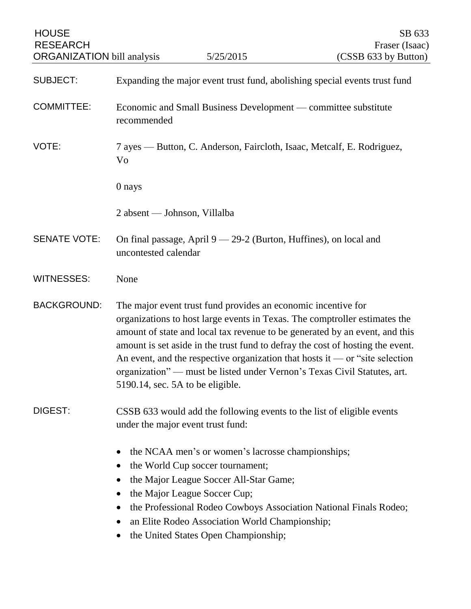| <b>HOUSE</b><br><b>RESEARCH</b><br><b>ORGANIZATION</b> bill analysis |                                                                            | 5/25/2015                                                                                                                                                                                                                                                 | SB 633<br>Fraser (Isaac)<br>(CSSB 633 by Button)                                                                                                                                                                                                                                                                                                                                                         |
|----------------------------------------------------------------------|----------------------------------------------------------------------------|-----------------------------------------------------------------------------------------------------------------------------------------------------------------------------------------------------------------------------------------------------------|----------------------------------------------------------------------------------------------------------------------------------------------------------------------------------------------------------------------------------------------------------------------------------------------------------------------------------------------------------------------------------------------------------|
| <b>SUBJECT:</b>                                                      |                                                                            |                                                                                                                                                                                                                                                           | Expanding the major event trust fund, abolishing special events trust fund                                                                                                                                                                                                                                                                                                                               |
| <b>COMMITTEE:</b>                                                    | recommended                                                                |                                                                                                                                                                                                                                                           | Economic and Small Business Development — committee substitute                                                                                                                                                                                                                                                                                                                                           |
| VOTE:                                                                | Vo                                                                         |                                                                                                                                                                                                                                                           | 7 ayes — Button, C. Anderson, Faircloth, Isaac, Metcalf, E. Rodriguez,                                                                                                                                                                                                                                                                                                                                   |
|                                                                      | 0 nays                                                                     |                                                                                                                                                                                                                                                           |                                                                                                                                                                                                                                                                                                                                                                                                          |
|                                                                      | 2 absent — Johnson, Villalba                                               |                                                                                                                                                                                                                                                           |                                                                                                                                                                                                                                                                                                                                                                                                          |
| <b>SENATE VOTE:</b>                                                  | uncontested calendar                                                       | On final passage, April $9 - 29-2$ (Burton, Huffines), on local and                                                                                                                                                                                       |                                                                                                                                                                                                                                                                                                                                                                                                          |
| <b>WITNESSES:</b>                                                    | None                                                                       |                                                                                                                                                                                                                                                           |                                                                                                                                                                                                                                                                                                                                                                                                          |
| <b>BACKGROUND:</b>                                                   | 5190.14, sec. 5A to be eligible.                                           | The major event trust fund provides an economic incentive for                                                                                                                                                                                             | organizations to host large events in Texas. The comptroller estimates the<br>amount of state and local tax revenue to be generated by an event, and this<br>amount is set aside in the trust fund to defray the cost of hosting the event.<br>An event, and the respective organization that hosts it — or "site selection"<br>organization" — must be listed under Vernon's Texas Civil Statutes, art. |
| DIGEST:                                                              |                                                                            | under the major event trust fund:                                                                                                                                                                                                                         | CSSB 633 would add the following events to the list of eligible events                                                                                                                                                                                                                                                                                                                                   |
|                                                                      | $\bullet$<br>$\bullet$<br>$\bullet$<br>$\bullet$<br>$\bullet$<br>$\bullet$ | the NCAA men's or women's lacrosse championships;<br>the World Cup soccer tournament;<br>the Major League Soccer All-Star Game;<br>the Major League Soccer Cup;<br>an Elite Rodeo Association World Championship;<br>the United States Open Championship; | the Professional Rodeo Cowboys Association National Finals Rodeo;                                                                                                                                                                                                                                                                                                                                        |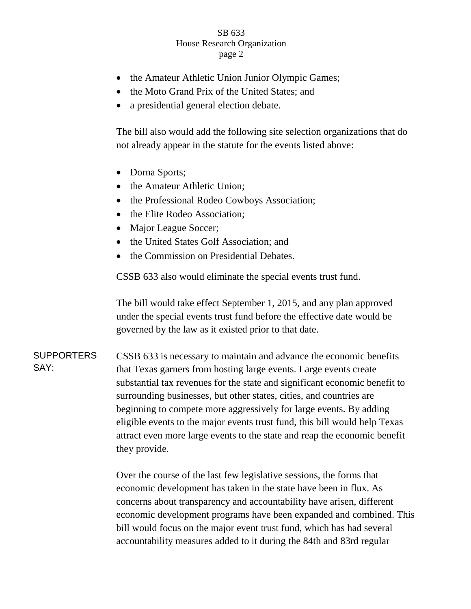## SB 633 House Research Organization page 2

- the Amateur Athletic Union Junior Olympic Games;
- the Moto Grand Prix of the United States: and
- a presidential general election debate.

The bill also would add the following site selection organizations that do not already appear in the statute for the events listed above:

- Dorna Sports;
- the Amateur Athletic Union;
- the Professional Rodeo Cowboys Association;
- the Elite Rodeo Association;
- Major League Soccer;
- the United States Golf Association; and
- the Commission on Presidential Debates.

CSSB 633 also would eliminate the special events trust fund.

The bill would take effect September 1, 2015, and any plan approved under the special events trust fund before the effective date would be governed by the law as it existed prior to that date.

**SUPPORTERS** SAY: CSSB 633 is necessary to maintain and advance the economic benefits that Texas garners from hosting large events. Large events create substantial tax revenues for the state and significant economic benefit to surrounding businesses, but other states, cities, and countries are beginning to compete more aggressively for large events. By adding eligible events to the major events trust fund, this bill would help Texas attract even more large events to the state and reap the economic benefit they provide.

> Over the course of the last few legislative sessions, the forms that economic development has taken in the state have been in flux. As concerns about transparency and accountability have arisen, different economic development programs have been expanded and combined. This bill would focus on the major event trust fund, which has had several accountability measures added to it during the 84th and 83rd regular